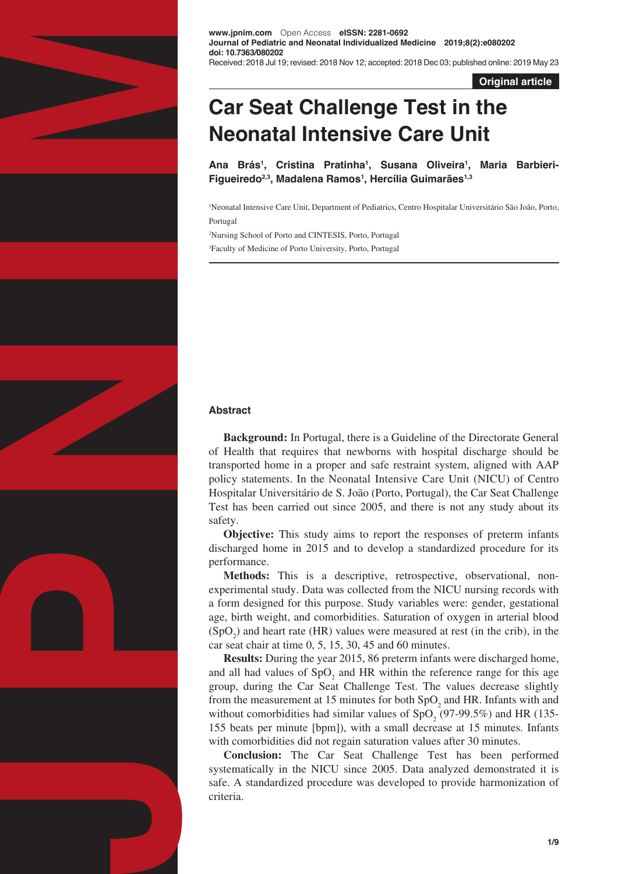

**www.jpnim.com** Open Access **eISSN: 2281-0692 Journal of Pediatric and Neonatal Individualized Medicine 2019;8(2):e080202 doi: 10.7363/080202** Received: 2018 Jul 19; revised: 2018 Nov 12; accepted: 2018 Dec 03; published online: 2019 May 23

**Original article**

# **Car Seat Challenge Test in the Neonatal Intensive Care Unit**

**Ana Brás1 , Cristina Pratinha1 , Susana Oliveira1 , Maria Barbieri-Figueiredo2,3, Madalena Ramos1 , Hercília Guimarães1,3**

1 Neonatal Intensive Care Unit, Department of Pediatrics, Centro Hospitalar Universitário São João, Porto, Portugal

2 Nursing School of Porto and CINTESIS, Porto, Portugal 3 Faculty of Medicine of Porto University, Porto, Portugal

# **Abstract**

**Background:** In Portugal, there is a Guideline of the Directorate General of Health that requires that newborns with hospital discharge should be transported home in a proper and safe restraint system, aligned with AAP policy statements. In the Neonatal Intensive Care Unit (NICU) of Centro Hospitalar Universitário de S. João (Porto, Portugal), the Car Seat Challenge Test has been carried out since 2005, and there is not any study about its safety.

**Objective:** This study aims to report the responses of preterm infants discharged home in 2015 and to develop a standardized procedure for its performance.

Methods: This is a descriptive, retrospective, observational, nonexperimental study. Data was collected from the NICU nursing records with a form designed for this purpose. Study variables were: gender, gestational age, birth weight, and comorbidities. Saturation of oxygen in arterial blood  $(SpO<sub>2</sub>)$  and heart rate (HR) values were measured at rest (in the crib), in the car seat chair at time 0, 5, 15, 30, 45 and 60 minutes.

**Results:** During the year 2015, 86 preterm infants were discharged home, and all had values of  $SpO<sub>2</sub>$  and HR within the reference range for this age group, during the Car Seat Challenge Test. The values decrease slightly from the measurement at 15 minutes for both  $SpO<sub>2</sub>$  and HR. Infants with and without comorbidities had similar values of  $SpO<sub>2</sub>$  (97-99.5%) and HR (135-155 beats per minute [bpm]), with a small decrease at 15 minutes. Infants with comorbidities did not regain saturation values after 30 minutes.

**Conclusion:** The Car Seat Challenge Test has been performed systematically in the NICU since 2005. Data analyzed demonstrated it is safe. A standardized procedure was developed to provide harmonization of criteria.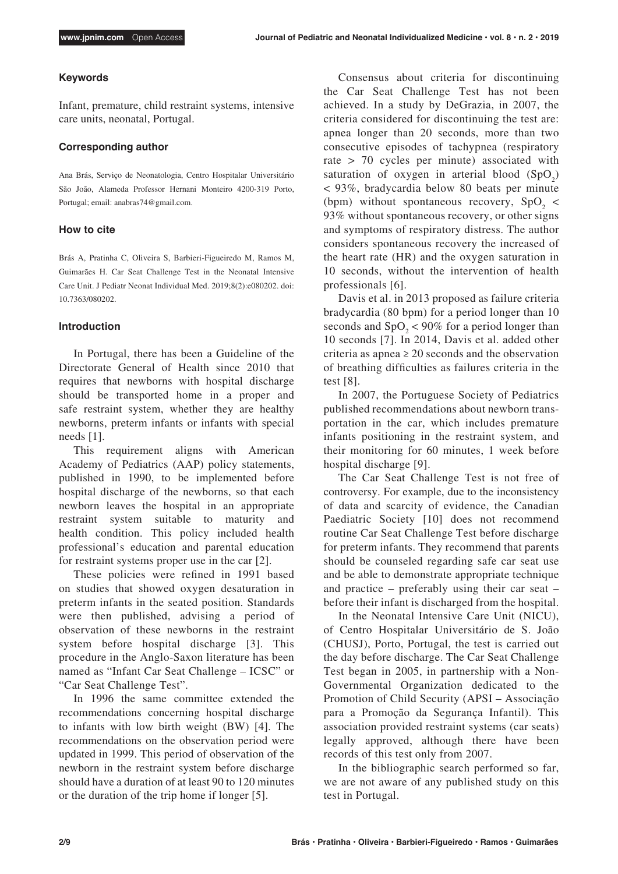## **Keywords**

Infant, premature, child restraint systems, intensive care units, neonatal, Portugal.

# **Corresponding author**

Ana Brás, Serviço de Neonatologia, Centro Hospitalar Universitário São João, Alameda Professor Hernani Monteiro 4200-319 Porto, Portugal; email: anabras74@gmail.com.

## **How to cite**

Brás A, Pratinha C, Oliveira S, Barbieri-Figueiredo M, Ramos M, Guimarães H. Car Seat Challenge Test in the Neonatal Intensive Care Unit. J Pediatr Neonat Individual Med. 2019;8(2):e080202. doi: 10.7363/080202.

# **Introduction**

In Portugal, there has been a Guideline of the Directorate General of Health since 2010 that requires that newborns with hospital discharge should be transported home in a proper and safe restraint system, whether they are healthy newborns, preterm infants or infants with special needs [1].

This requirement aligns with American Academy of Pediatrics (AAP) policy statements, published in 1990, to be implemented before hospital discharge of the newborns, so that each newborn leaves the hospital in an appropriate restraint system suitable to maturity and health condition. This policy included health professional's education and parental education for restraint systems proper use in the car [2].

These policies were refined in 1991 based on studies that showed oxygen desaturation in preterm infants in the seated position. Standards were then published, advising a period of observation of these newborns in the restraint system before hospital discharge [3]. This procedure in the Anglo-Saxon literature has been named as "Infant Car Seat Challenge – ICSC" or "Car Seat Challenge Test".

In 1996 the same committee extended the recommendations concerning hospital discharge to infants with low birth weight (BW) [4]. The recommendations on the observation period were updated in 1999. This period of observation of the newborn in the restraint system before discharge should have a duration of at least 90 to 120 minutes or the duration of the trip home if longer [5].

Consensus about criteria for discontinuing the Car Seat Challenge Test has not been achieved. In a study by DeGrazia, in 2007, the criteria considered for discontinuing the test are: apnea longer than 20 seconds, more than two consecutive episodes of tachypnea (respiratory rate > 70 cycles per minute) associated with saturation of oxygen in arterial blood  $(SpO<sub>2</sub>)$ < 93%, bradycardia below 80 beats per minute (bpm) without spontaneous recovery,  $SpO<sub>2</sub>$  < 93% without spontaneous recovery, or other signs and symptoms of respiratory distress. The author considers spontaneous recovery the increased of the heart rate (HR) and the oxygen saturation in 10 seconds, without the intervention of health professionals [6].

Davis et al. in 2013 proposed as failure criteria bradycardia (80 bpm) for a period longer than 10 seconds and  $SpO<sub>2</sub> < 90\%$  for a period longer than 10 seconds [7]. In 2014, Davis et al. added other criteria as apnea  $\geq 20$  seconds and the observation of breathing difficulties as failures criteria in the test [8].

In 2007, the Portuguese Society of Pediatrics published recommendations about newborn transportation in the car, which includes premature infants positioning in the restraint system, and their monitoring for 60 minutes, 1 week before hospital discharge [9].

The Car Seat Challenge Test is not free of controversy. For example, due to the inconsistency of data and scarcity of evidence, the Canadian Paediatric Society [10] does not recommend routine Car Seat Challenge Test before discharge for preterm infants. They recommend that parents should be counseled regarding safe car seat use and be able to demonstrate appropriate technique and practice – preferably using their car seat – before their infant is discharged from the hospital.

In the Neonatal Intensive Care Unit (NICU), of Centro Hospitalar Universitário de S. João (CHUSJ), Porto, Portugal, the test is carried out the day before discharge. The Car Seat Challenge Test began in 2005, in partnership with a Non-Governmental Organization dedicated to the Promotion of Child Security (APSI – Associação para a Promoção da Segurança Infantil). This association provided restraint systems (car seats) legally approved, although there have been records of this test only from 2007.

In the bibliographic search performed so far, we are not aware of any published study on this test in Portugal.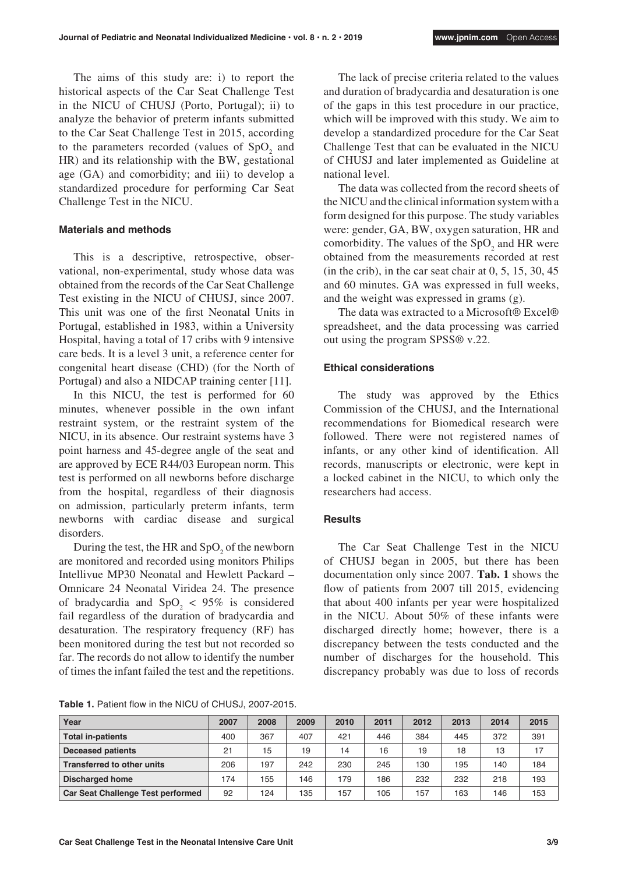The aims of this study are: i) to report the historical aspects of the Car Seat Challenge Test in the NICU of CHUSJ (Porto, Portugal); ii) to analyze the behavior of preterm infants submitted to the Car Seat Challenge Test in 2015, according to the parameters recorded (values of  $SpO<sub>2</sub>$  and HR) and its relationship with the BW, gestational age (GA) and comorbidity; and iii) to develop a standardized procedure for performing Car Seat Challenge Test in the NICU.

# **Materials and methods**

This is a descriptive, retrospective, observational, non-experimental, study whose data was obtained from the records of the Car Seat Challenge Test existing in the NICU of CHUSJ, since 2007. This unit was one of the first Neonatal Units in Portugal, established in 1983, within a University Hospital, having a total of 17 cribs with 9 intensive care beds. It is a level 3 unit, a reference center for congenital heart disease (CHD) (for the North of Portugal) and also a NIDCAP training center [11].

In this NICU, the test is performed for 60 minutes, whenever possible in the own infant restraint system, or the restraint system of the NICU, in its absence. Our restraint systems have 3 point harness and 45-degree angle of the seat and are approved by ECE R44/03 European norm. This test is performed on all newborns before discharge from the hospital, regardless of their diagnosis on admission, particularly preterm infants, term newborns with cardiac disease and surgical disorders.

During the test, the HR and  $SpO<sub>2</sub>$  of the newborn are monitored and recorded using monitors Philips Intellivue MP30 Neonatal and Hewlett Packard – Omnicare 24 Neonatal Viridea 24. The presence of bradycardia and  $SpO<sub>2</sub> < 95%$  is considered fail regardless of the duration of bradycardia and desaturation. The respiratory frequency (RF) has been monitored during the test but not recorded so far. The records do not allow to identify the number of times the infant failed the test and the repetitions.

**Table 1.** Patient flow in the NICU of CHUSJ, 2007-2015.

The lack of precise criteria related to the values and duration of bradycardia and desaturation is one of the gaps in this test procedure in our practice, which will be improved with this study. We aim to develop a standardized procedure for the Car Seat Challenge Test that can be evaluated in the NICU of CHUSJ and later implemented as Guideline at national level.

The data was collected from the record sheets of the NICU and the clinical information system with a form designed for this purpose. The study variables were: gender, GA, BW, oxygen saturation, HR and comorbidity. The values of the  $SpO<sub>2</sub>$  and HR were obtained from the measurements recorded at rest (in the crib), in the car seat chair at  $0, 5, 15, 30, 45$ and 60 minutes. GA was expressed in full weeks, and the weight was expressed in grams (g).

The data was extracted to a Microsoft® Excel® spreadsheet, and the data processing was carried out using the program SPSS® v.22.

# **Ethical considerations**

The study was approved by the Ethics Commission of the CHUSJ, and the International recommendations for Biomedical research were followed. There were not registered names of infants, or any other kind of identification. All records, manuscripts or electronic, were kept in a locked cabinet in the NICU, to which only the researchers had access.

# **Results**

The Car Seat Challenge Test in the NICU of CHUSJ began in 2005, but there has been documentation only since 2007. **Tab. 1** shows the flow of patients from 2007 till 2015, evidencing that about 400 infants per year were hospitalized in the NICU. About 50% of these infants were discharged directly home; however, there is a discrepancy between the tests conducted and the number of discharges for the household. This discrepancy probably was due to loss of records

| Year                                     | 2007 | 2008 | 2009 | 2010 | 2011 | 2012 | 2013 | 2014 | 2015 |
|------------------------------------------|------|------|------|------|------|------|------|------|------|
| <b>Total in-patients</b>                 | 400  | 367  | 407  | 421  | 446  | 384  | 445  | 372  | 391  |
| <b>Deceased patients</b>                 | 21   | 15   | 19   | 14   | 16   | 19   | 18   | 13   | 17   |
| <b>Transferred to other units</b>        | 206  | 197  | 242  | 230  | 245  | 130  | 195  | 140  | 184  |
| <b>Discharged home</b>                   | 174  | 155  | 146  | 179  | 186  | 232  | 232  | 218  | 193  |
| <b>Car Seat Challenge Test performed</b> | 92   | 124  | 135  | 157  | 105  | 157  | 163  | 146  | 153  |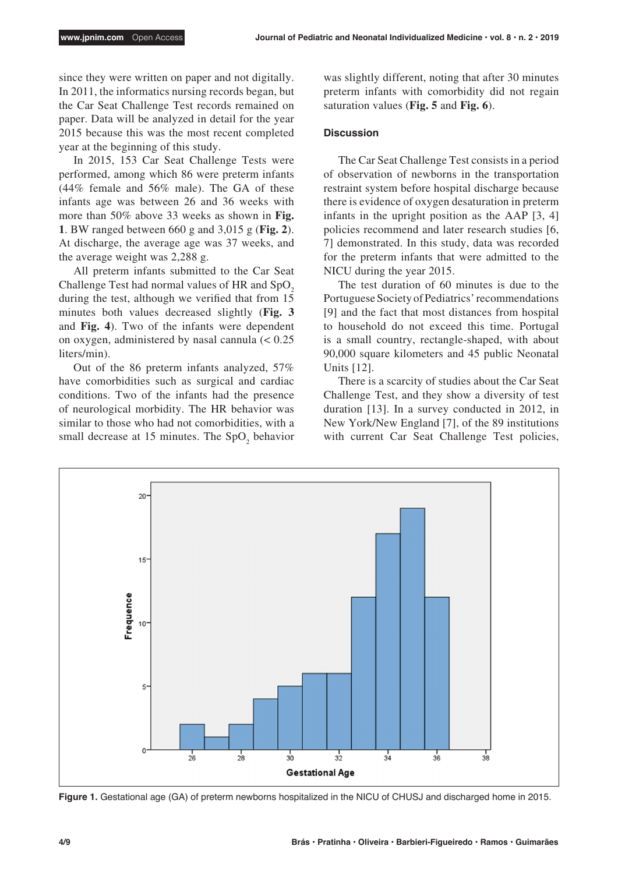since they were written on paper and not digitally. In 2011, the informatics nursing records began, but the Car Seat Challenge Test records remained on paper. Data will be analyzed in detail for the year 2015 because this was the most recent completed year at the beginning of this study.

In 2015, 153 Car Seat Challenge Tests were performed, among which 86 were preterm infants (44% female and 56% male). The GA of these infants age was between 26 and 36 weeks with more than 50% above 33 weeks as shown in **Fig. 1**. BW ranged between 660 g and 3,015 g (**Fig. 2**). At discharge, the average age was 37 weeks, and the average weight was 2,288 g.

All preterm infants submitted to the Car Seat Challenge Test had normal values of HR and  $SpO<sub>2</sub>$ during the test, although we verified that from 15 minutes both values decreased slightly (**Fig. 3** and **Fig. 4**). Two of the infants were dependent on oxygen, administered by nasal cannula (< 0.25 liters/min).

Out of the 86 preterm infants analyzed, 57% have comorbidities such as surgical and cardiac conditions. Two of the infants had the presence of neurological morbidity. The HR behavior was similar to those who had not comorbidities, with a small decrease at 15 minutes. The  $SpO<sub>2</sub>$  behavior was slightly different, noting that after 30 minutes preterm infants with comorbidity did not regain saturation values (**Fig. 5** and **Fig. 6**).

# **Discussion**

The Car Seat Challenge Test consists in a period of observation of newborns in the transportation restraint system before hospital discharge because there is evidence of oxygen desaturation in preterm infants in the upright position as the AAP [3, 4] policies recommend and later research studies [6, 7] demonstrated. In this study, data was recorded for the preterm infants that were admitted to the NICU during the year 2015.

The test duration of 60 minutes is due to the Portuguese Society of Pediatrics' recommendations [9] and the fact that most distances from hospital to household do not exceed this time. Portugal is a small country, rectangle-shaped, with about 90,000 square kilometers and 45 public Neonatal Units [12].

There is a scarcity of studies about the Car Seat Challenge Test, and they show a diversity of test duration [13]. In a survey conducted in 2012, in New York/New England [7], of the 89 institutions with current Car Seat Challenge Test policies,



**Figure 1.** Gestational age (GA) of preterm newborns hospitalized in the NICU of CHUSJ and discharged home in 2015.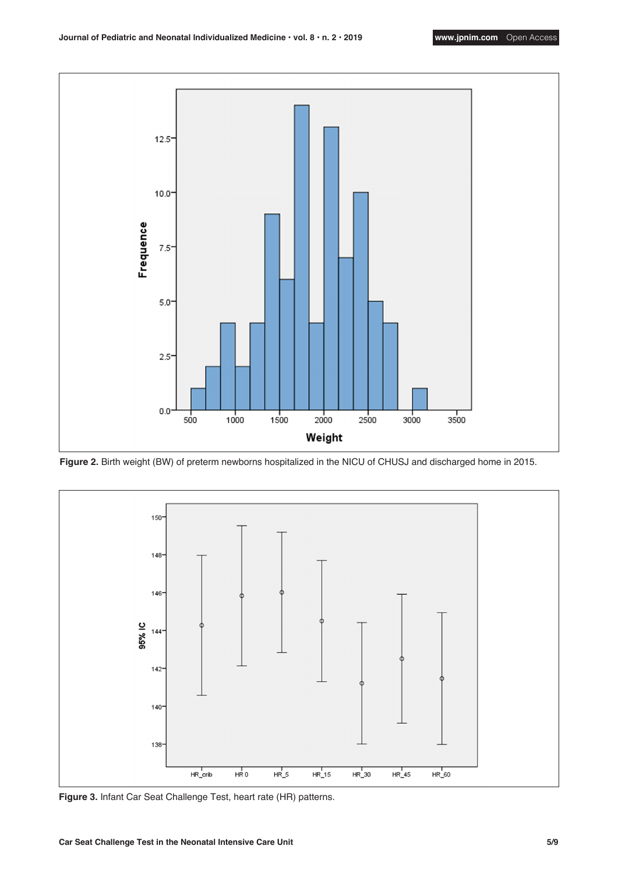

**Figure 2.** Birth weight (BW) of preterm newborns hospitalized in the NICU of CHUSJ and discharged home in 2015.



**Figure 3.** Infant Car Seat Challenge Test, heart rate (HR) patterns.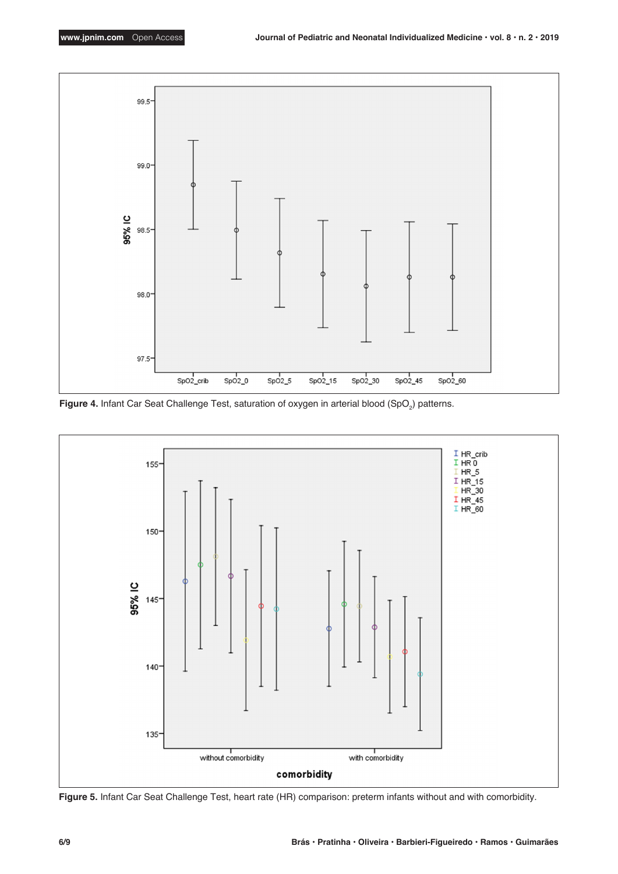

**Figure 4.** Infant Car Seat Challenge Test, saturation of oxygen in arterial blood (SpO<sub>2</sub>) patterns.



**Figure 5.** Infant Car Seat Challenge Test, heart rate (HR) comparison: preterm infants without and with comorbidity.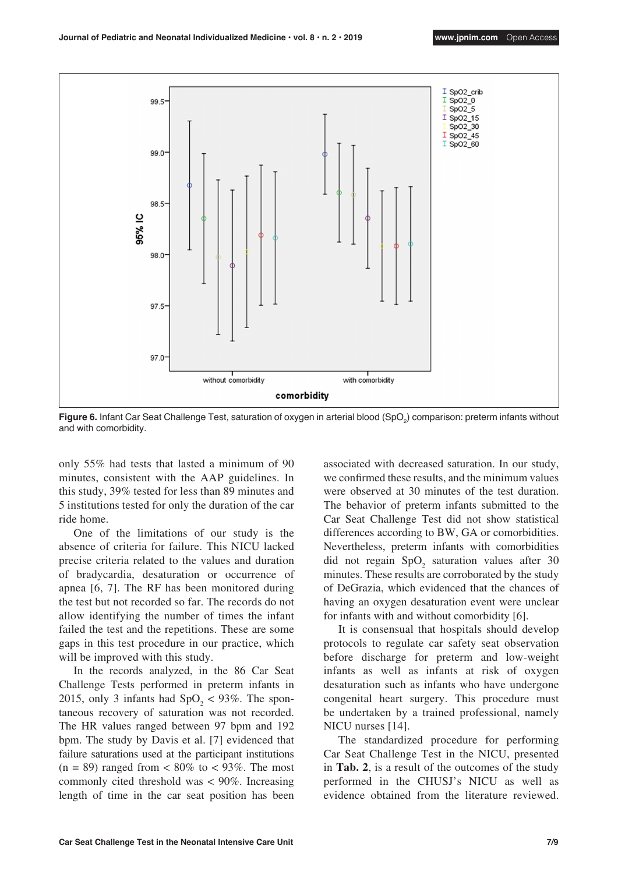

**Figure 6.** Infant Car Seat Challenge Test, saturation of oxygen in arterial blood (SpO<sub>2</sub>) comparison: preterm infants without and with comorbidity.

only 55% had tests that lasted a minimum of 90 minutes, consistent with the AAP guidelines. In this study, 39% tested for less than 89 minutes and 5 institutions tested for only the duration of the car ride home.

One of the limitations of our study is the absence of criteria for failure. This NICU lacked precise criteria related to the values and duration of bradycardia, desaturation or occurrence of apnea [6, 7]. The RF has been monitored during the test but not recorded so far. The records do not allow identifying the number of times the infant failed the test and the repetitions. These are some gaps in this test procedure in our practice, which will be improved with this study.

In the records analyzed, in the 86 Car Seat Challenge Tests performed in preterm infants in 2015, only 3 infants had  $SpO<sub>2</sub> < 93\%$ . The spontaneous recovery of saturation was not recorded. The HR values ranged between 97 bpm and 192 bpm. The study by Davis et al. [7] evidenced that failure saturations used at the participant institutions  $(n = 89)$  ranged from  $\lt 80\%$  to  $\lt 93\%$ . The most commonly cited threshold was < 90%. Increasing length of time in the car seat position has been

associated with decreased saturation. In our study, we confirmed these results, and the minimum values were observed at 30 minutes of the test duration. The behavior of preterm infants submitted to the Car Seat Challenge Test did not show statistical differences according to BW, GA or comorbidities. Nevertheless, preterm infants with comorbidities did not regain  $SpO<sub>2</sub>$  saturation values after 30 minutes. These results are corroborated by the study of DeGrazia, which evidenced that the chances of having an oxygen desaturation event were unclear for infants with and without comorbidity [6].

It is consensual that hospitals should develop protocols to regulate car safety seat observation before discharge for preterm and low-weight infants as well as infants at risk of oxygen desaturation such as infants who have undergone congenital heart surgery. This procedure must be undertaken by a trained professional, namely NICU nurses [14].

The standardized procedure for performing Car Seat Challenge Test in the NICU, presented in **Tab. 2**, is a result of the outcomes of the study performed in the CHUSJ's NICU as well as evidence obtained from the literature reviewed.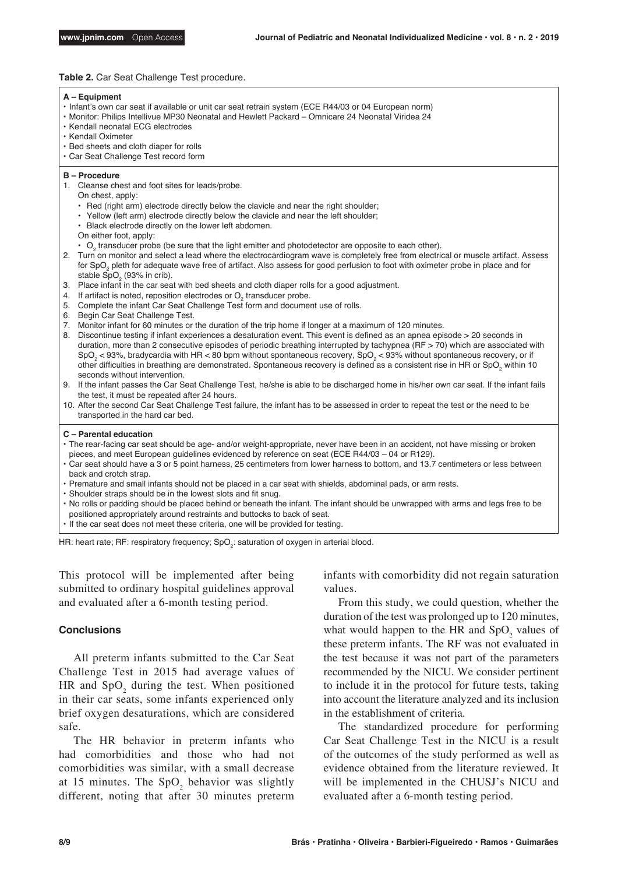#### **Table 2.** Car Seat Challenge Test procedure.

#### **A – Equipment**

- Infant's own car seat if available or unit car seat retrain system (ECE R44/03 or 04 European norm)
- Monitor: Philips Intellivue MP30 Neonatal and Hewlett Packard Omnicare 24 Neonatal Viridea 24
- Kendall neonatal ECG electrodes
- Kendall Oximeter
- Bed sheets and cloth diaper for rolls
- Car Seat Challenge Test record form

#### **B – Procedure**

- 1. Cleanse chest and foot sites for leads/probe.
	- On chest, apply:
		- Red (right arm) electrode directly below the clavicle and near the right shoulder;
	- Yellow (left arm) electrode directly below the clavicle and near the left shoulder;
	- Black electrode directly on the lower left abdomen.
	- On either foot, apply:
	- $\cdot$  O<sub>2</sub> transducer probe (be sure that the light emitter and photodetector are opposite to each other).
- 2. Turn on monitor and select a lead where the electrocardiogram wave is completely free from electrical or muscle artifact. Assess for SpO $_2$  pleth for adequate wave free of artifact. Also assess for good perfusion to foot with oximeter probe in place and for stable  $\text{SpO}_2^{\phantom{\prime}}$  (93% in crib).
- 3. Place infant in the car seat with bed sheets and cloth diaper rolls for a good adjustment.
- 4. If artifact is noted, reposition electrodes or  $O<sub>2</sub>$  transducer probe.
- 5. Complete the infant Car Seat Challenge Test form and document use of rolls.
- 6. Begin Car Seat Challenge Test.
- 7. Monitor infant for 60 minutes or the duration of the trip home if longer at a maximum of 120 minutes.
- 8. Discontinue testing if infant experiences a desaturation event. This event is defined as an apnea episode > 20 seconds in duration, more than 2 consecutive episodes of periodic breathing interrupted by tachypnea (RF > 70) which are associated with SpO $_2$  < 93%, bradycardia with HR < 80 bpm without spontaneous recovery, SpO $_2$  < 93% without spontaneous recovery, or if other difficulties in breathing are demonstrated. Spontaneous recovery is defined as a consistent rise in HR or SpO $_2$  within 10  $\,$ seconds without intervention.
- 9. If the infant passes the Car Seat Challenge Test, he/she is able to be discharged home in his/her own car seat. If the infant fails the test, it must be repeated after 24 hours.
- 10. After the second Car Seat Challenge Test failure, the infant has to be assessed in order to repeat the test or the need to be transported in the hard car bed.

#### **C – Parental education**

- The rear-facing car seat should be age- and/or weight-appropriate, never have been in an accident, not have missing or broken pieces, and meet European guidelines evidenced by reference on seat (ECE R44/03 – 04 or R129).
- Car seat should have a 3 or 5 point harness, 25 centimeters from lower harness to bottom, and 13.7 centimeters or less between back and crotch strap.
- Premature and small infants should not be placed in a car seat with shields, abdominal pads, or arm rests.
- Shoulder straps should be in the lowest slots and fit snug.
- No rolls or padding should be placed behind or beneath the infant. The infant should be unwrapped with arms and legs free to be positioned appropriately around restraints and buttocks to back of seat.
- If the car seat does not meet these criteria, one will be provided for testing.

HR: heart rate; RF: respiratory frequency; SpO $_2$ : saturation of oxygen in arterial blood.

This protocol will be implemented after being submitted to ordinary hospital guidelines approval and evaluated after a 6-month testing period.

# **Conclusions**

All preterm infants submitted to the Car Seat Challenge Test in 2015 had average values of HR and  $SpO<sub>2</sub>$  during the test. When positioned in their car seats, some infants experienced only brief oxygen desaturations, which are considered safe.

The HR behavior in preterm infants who had comorbidities and those who had not comorbidities was similar, with a small decrease at 15 minutes. The  $SpO<sub>2</sub>$  behavior was slightly different, noting that after 30 minutes preterm

infants with comorbidity did not regain saturation values.

From this study, we could question, whether the duration of the test was prolonged up to 120 minutes, what would happen to the HR and  $SpO<sub>2</sub>$  values of these preterm infants. The RF was not evaluated in the test because it was not part of the parameters recommended by the NICU. We consider pertinent to include it in the protocol for future tests, taking into account the literature analyzed and its inclusion in the establishment of criteria.

The standardized procedure for performing Car Seat Challenge Test in the NICU is a result of the outcomes of the study performed as well as evidence obtained from the literature reviewed. It will be implemented in the CHUSJ's NICU and evaluated after a 6-month testing period.